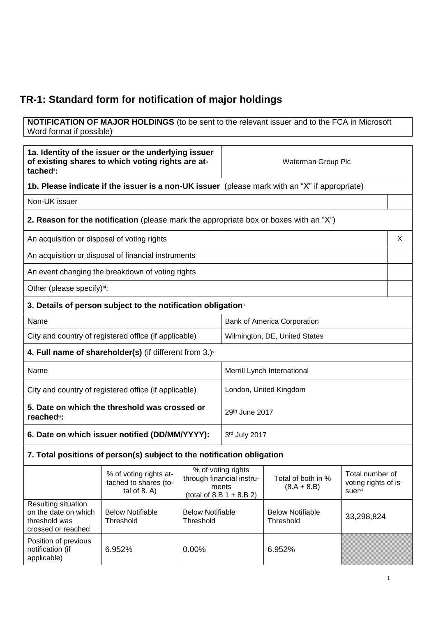## **TR-1: Standard form for notification of major holdings**

**NOTIFICATION OF MAJOR HOLDINGS** (to be sent to the relevant issuer and to the FCA in Microsoft Word format if possible)

| 1a. Identity of the issuer or the underlying issuer<br>of existing shares to which voting rights are at-<br>tached <sup>®</sup> : |                                                                                       | Waterman Group Plc                                                                      |                                    |                                      |                                                    |   |
|-----------------------------------------------------------------------------------------------------------------------------------|---------------------------------------------------------------------------------------|-----------------------------------------------------------------------------------------|------------------------------------|--------------------------------------|----------------------------------------------------|---|
| 1b. Please indicate if the issuer is a non-UK issuer (please mark with an "X" if appropriate)                                     |                                                                                       |                                                                                         |                                    |                                      |                                                    |   |
| Non-UK issuer                                                                                                                     |                                                                                       |                                                                                         |                                    |                                      |                                                    |   |
|                                                                                                                                   | 2. Reason for the notification (please mark the appropriate box or boxes with an "X") |                                                                                         |                                    |                                      |                                                    |   |
|                                                                                                                                   | An acquisition or disposal of voting rights                                           |                                                                                         |                                    |                                      |                                                    | X |
|                                                                                                                                   | An acquisition or disposal of financial instruments                                   |                                                                                         |                                    |                                      |                                                    |   |
|                                                                                                                                   | An event changing the breakdown of voting rights                                      |                                                                                         |                                    |                                      |                                                    |   |
| Other (please specify)iii:                                                                                                        |                                                                                       |                                                                                         |                                    |                                      |                                                    |   |
|                                                                                                                                   | 3. Details of person subject to the notification obligation <sup>®</sup>              |                                                                                         |                                    |                                      |                                                    |   |
| Name                                                                                                                              |                                                                                       |                                                                                         | <b>Bank of America Corporation</b> |                                      |                                                    |   |
| City and country of registered office (if applicable)                                                                             |                                                                                       |                                                                                         | Wilmington, DE, United States      |                                      |                                                    |   |
|                                                                                                                                   | 4. Full name of shareholder(s) (if different from $3.$ ) $\sqrt{ }$                   |                                                                                         |                                    |                                      |                                                    |   |
| Name                                                                                                                              |                                                                                       |                                                                                         | Merrill Lynch International        |                                      |                                                    |   |
| City and country of registered office (if applicable)                                                                             |                                                                                       |                                                                                         | London, United Kingdom             |                                      |                                                    |   |
| 5. Date on which the threshold was crossed or<br>reached <sup>vi</sup> :                                                          |                                                                                       |                                                                                         | 29th June 2017                     |                                      |                                                    |   |
| 6. Date on which issuer notified (DD/MM/YYYY):                                                                                    |                                                                                       | 3rd July 2017                                                                           |                                    |                                      |                                                    |   |
|                                                                                                                                   | 7. Total positions of person(s) subject to the notification obligation                |                                                                                         |                                    |                                      |                                                    |   |
|                                                                                                                                   | % of voting rights at-<br>tached to shares (to-<br>tal of $8. A$ )                    | % of voting rights<br>through financial instru-<br>ments<br>(total of 8.B $1 + 8.B 2$ ) |                                    | Total of both in %<br>$(8.A + 8.B)$  | Total number of<br>voting rights of is-<br>suervii |   |
| Resulting situation<br>on the date on which<br>threshold was<br>crossed or reached                                                | <b>Below Notifiable</b><br>Threshold                                                  | <b>Below Notifiable</b><br>Threshold                                                    |                                    | <b>Below Notifiable</b><br>Threshold | 33,298,824                                         |   |
| Position of previous<br>notification (if<br>applicable)                                                                           | 6.952%                                                                                | 0.00%                                                                                   |                                    | 6.952%                               |                                                    |   |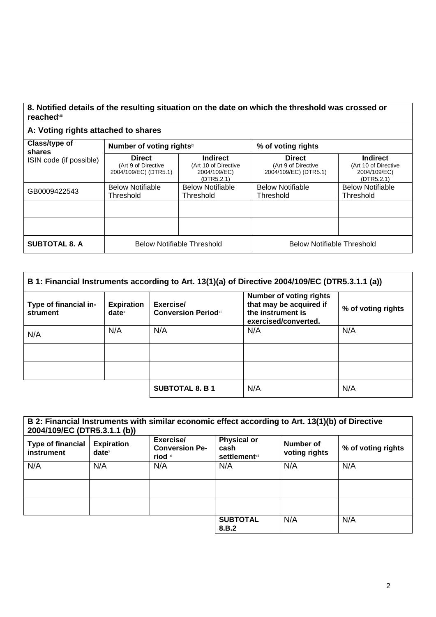## **8. Notified details of the resulting situation on the date on which the threshold was crossed or reached**viii

## **A: Voting rights attached to shares**

| Class/type of<br>shares | Number of voting rightsix                                     |                                                                       | % of voting rights                                            |                                                                       |  |
|-------------------------|---------------------------------------------------------------|-----------------------------------------------------------------------|---------------------------------------------------------------|-----------------------------------------------------------------------|--|
| ISIN code (if possible) | <b>Direct</b><br>(Art 9 of Directive<br>2004/109/EC) (DTR5.1) | <b>Indirect</b><br>(Art 10 of Directive<br>2004/109/EC)<br>(DTR5.2.1) | <b>Direct</b><br>(Art 9 of Directive<br>2004/109/EC) (DTR5.1) | <b>Indirect</b><br>(Art 10 of Directive<br>2004/109/EC)<br>(DTR5.2.1) |  |
| GB0009422543            | <b>Below Notifiable</b><br>Threshold                          | <b>Below Notifiable</b><br>Threshold                                  | <b>Below Notifiable</b><br>Threshold                          | <b>Below Notifiable</b><br>Threshold                                  |  |
|                         |                                                               |                                                                       |                                                               |                                                                       |  |
|                         |                                                               |                                                                       |                                                               |                                                                       |  |
| <b>SUBTOTAL 8. A</b>    | <b>Below Notifiable Threshold</b>                             |                                                                       | <b>Below Notifiable Threshold</b>                             |                                                                       |  |

| B 1: Financial Instruments according to Art. 13(1)(a) of Directive 2004/109/EC (DTR5.3.1.1 (a)) |                               |                                          |                                                                                                        |                    |
|-------------------------------------------------------------------------------------------------|-------------------------------|------------------------------------------|--------------------------------------------------------------------------------------------------------|--------------------|
| Type of financial in-<br>strument                                                               | <b>Expiration</b><br>$date^x$ | Exercise/<br><b>Conversion Period</b> xi | <b>Number of voting rights</b><br>that may be acquired if<br>the instrument is<br>exercised/converted. | % of voting rights |
| N/A                                                                                             | N/A                           | N/A                                      | N/A                                                                                                    | N/A                |
|                                                                                                 |                               |                                          |                                                                                                        |                    |
|                                                                                                 |                               |                                          |                                                                                                        |                    |
|                                                                                                 |                               | <b>SUBTOTAL 8. B 1</b>                   | N/A                                                                                                    | N/A                |

| 2004/109/EC (DTR5.3.1.1 (b))           |                                        | B 2: Financial Instruments with similar economic effect according to Art. 13(1)(b) of Directive |                                                                |                            |                    |
|----------------------------------------|----------------------------------------|-------------------------------------------------------------------------------------------------|----------------------------------------------------------------|----------------------------|--------------------|
| <b>Type of financial</b><br>instrument | <b>Expiration</b><br>date <sup>x</sup> | Exercise/<br><b>Conversion Pe-</b><br>riod xi                                                   | <b>Physical or</b><br>cash<br><b>settlement</b> <sup>xii</sup> | Number of<br>voting rights | % of voting rights |
| N/A                                    | N/A                                    | N/A                                                                                             | N/A                                                            | N/A                        | N/A                |
|                                        |                                        |                                                                                                 |                                                                |                            |                    |
|                                        |                                        |                                                                                                 |                                                                |                            |                    |
|                                        |                                        |                                                                                                 | <b>SUBTOTAL</b><br>8.B.2                                       | N/A                        | N/A                |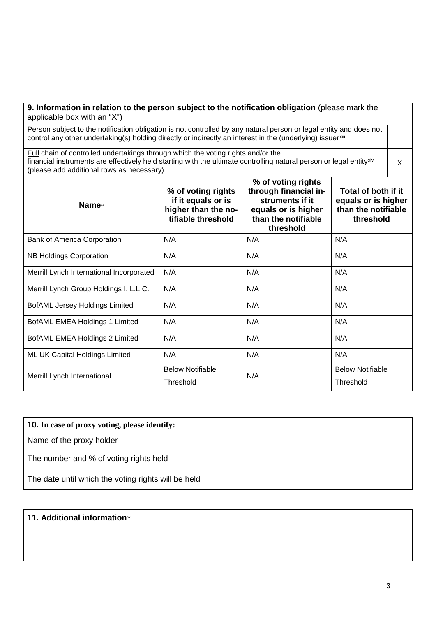| 9. Information in relation to the person subject to the notification obligation (please mark the<br>applicable box with an "X")                                                                                                                                                                                            |                                      |     |                                      |  |  |
|----------------------------------------------------------------------------------------------------------------------------------------------------------------------------------------------------------------------------------------------------------------------------------------------------------------------------|--------------------------------------|-----|--------------------------------------|--|--|
| Person subject to the notification obligation is not controlled by any natural person or legal entity and does not<br>control any other undertaking(s) holding directly or indirectly an interest in the (underlying) issuerxill                                                                                           |                                      |     |                                      |  |  |
| Full chain of controlled undertakings through which the voting rights and/or the<br>financial instruments are effectively held starting with the ultimate controlling natural person or legal entityxiv<br>(please add additional rows as necessary)                                                                       |                                      |     |                                      |  |  |
| % of voting rights<br>through financial in-<br>Total of both if it<br>% of voting rights<br>if it equals or is<br>struments if it<br>equals or is higher<br>Name <sup>xv</sup><br>higher than the no-<br>than the notifiable<br>equals or is higher<br>tifiable threshold<br>than the notifiable<br>threshold<br>threshold |                                      |     |                                      |  |  |
| <b>Bank of America Corporation</b>                                                                                                                                                                                                                                                                                         | N/A                                  | N/A | N/A                                  |  |  |
| <b>NB Holdings Corporation</b>                                                                                                                                                                                                                                                                                             | N/A                                  | N/A | N/A                                  |  |  |
| Merrill Lynch International Incorporated                                                                                                                                                                                                                                                                                   | N/A                                  | N/A | N/A                                  |  |  |
| Merrill Lynch Group Holdings I, L.L.C.                                                                                                                                                                                                                                                                                     | N/A                                  | N/A | N/A                                  |  |  |
| <b>BofAML Jersey Holdings Limited</b>                                                                                                                                                                                                                                                                                      | N/A                                  | N/A | N/A                                  |  |  |
| BofAML EMEA Holdings 1 Limited                                                                                                                                                                                                                                                                                             | N/A                                  | N/A | N/A                                  |  |  |
| BofAML EMEA Holdings 2 Limited                                                                                                                                                                                                                                                                                             | N/A                                  | N/A | N/A                                  |  |  |
| ML UK Capital Holdings Limited                                                                                                                                                                                                                                                                                             | N/A                                  | N/A | N/A                                  |  |  |
| Merrill Lynch International                                                                                                                                                                                                                                                                                                | <b>Below Notifiable</b><br>Threshold | N/A | <b>Below Notifiable</b><br>Threshold |  |  |

| <b>10.</b> In case of proxy voting, please identify: |  |
|------------------------------------------------------|--|
| Name of the proxy holder                             |  |
| The number and % of voting rights held               |  |
| The date until which the voting rights will be held  |  |

## **11. Additional information**xvi